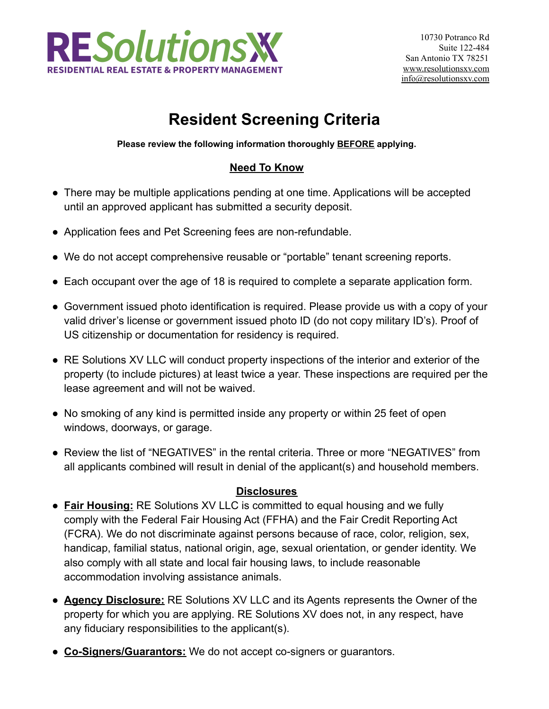

# **Resident Screening Criteria**

**Please review the following information thoroughly BEFORE applying.**

# **Need To Know**

- There may be multiple applications pending at one time. Applications will be accepted until an approved applicant has submitted a security deposit.
- Application fees and Pet Screening fees are non-refundable.
- We do not accept comprehensive reusable or "portable" tenant screening reports.
- Each occupant over the age of 18 is required to complete a separate application form.
- Government issued photo identification is required. Please provide us with a copy of your valid driver's license or government issued photo ID (do not copy military ID's). Proof of US citizenship or documentation for residency is required.
- RE Solutions XV LLC will conduct property inspections of the interior and exterior of the property (to include pictures) at least twice a year. These inspections are required per the lease agreement and will not be waived.
- No smoking of any kind is permitted inside any property or within 25 feet of open windows, doorways, or garage.
- Review the list of "NEGATIVES" in the rental criteria. Three or more "NEGATIVES" from all applicants combined will result in denial of the applicant(s) and household members.

#### **Disclosures**

- **Fair Housing:** RE Solutions XV LLC is committed to equal housing and we fully comply with the Federal Fair Housing Act (FFHA) and the Fair Credit Reporting Act (FCRA). We do not discriminate against persons because of race, color, religion, sex, handicap, familial status, national origin, age, sexual orientation, or gender identity. We also comply with all state and local fair housing laws, to include reasonable accommodation involving assistance animals.
- **Agency Disclosure:** RE Solutions XV LLC and its Agents represents the Owner of the property for which you are applying. RE Solutions XV does not, in any respect, have any fiduciary responsibilities to the applicant(s).
- **Co-Signers/Guarantors:** We do not accept co-signers or guarantors.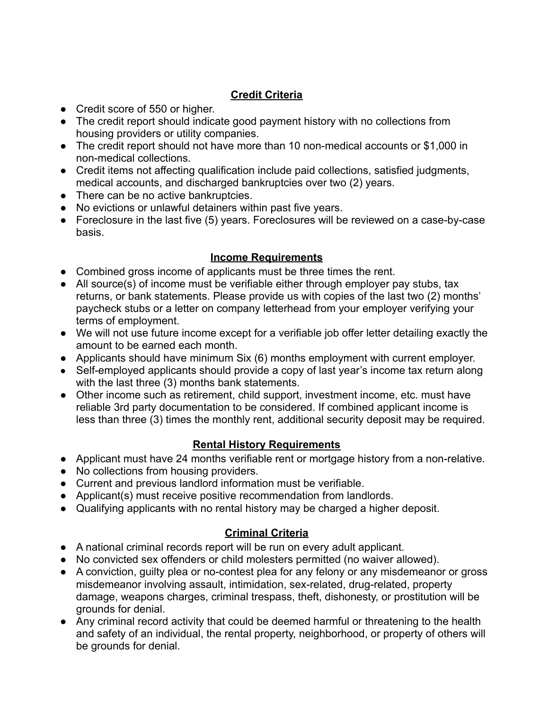## **Credit Criteria**

- Credit score of 550 or higher.
- The credit report should indicate good payment history with no collections from housing providers or utility companies.
- The credit report should not have more than 10 non-medical accounts or \$1,000 in non-medical collections.
- Credit items not affecting qualification include paid collections, satisfied judgments, medical accounts, and discharged bankruptcies over two (2) years.
- There can be no active bankruptcies.
- No evictions or unlawful detainers within past five years.
- Foreclosure in the last five (5) years. Foreclosures will be reviewed on a case-by-case basis.

## **Income Requirements**

- Combined gross income of applicants must be three times the rent.
- All source(s) of income must be verifiable either through employer pay stubs, tax returns, or bank statements. Please provide us with copies of the last two (2) months' paycheck stubs or a letter on company letterhead from your employer verifying your terms of employment.
- We will not use future income except for a verifiable job offer letter detailing exactly the amount to be earned each month.
- Applicants should have minimum Six (6) months employment with current employer.
- Self-employed applicants should provide a copy of last year's income tax return along with the last three (3) months bank statements.
- Other income such as retirement, child support, investment income, etc. must have reliable 3rd party documentation to be considered. If combined applicant income is less than three (3) times the monthly rent, additional security deposit may be required.

## **Rental History Requirements**

- Applicant must have 24 months verifiable rent or mortgage history from a non-relative.
- No collections from housing providers.
- Current and previous landlord information must be verifiable.
- Applicant(s) must receive positive recommendation from landlords.
- Qualifying applicants with no rental history may be charged a higher deposit.

## **Criminal Criteria**

- A national criminal records report will be run on every adult applicant.
- No convicted sex offenders or child molesters permitted (no waiver allowed).
- A conviction, guilty plea or no-contest plea for any felony or any misdemeanor or gross misdemeanor involving assault, intimidation, sex-related, drug-related, property damage, weapons charges, criminal trespass, theft, dishonesty, or prostitution will be grounds for denial.
- Any criminal record activity that could be deemed harmful or threatening to the health and safety of an individual, the rental property, neighborhood, or property of others will be grounds for denial.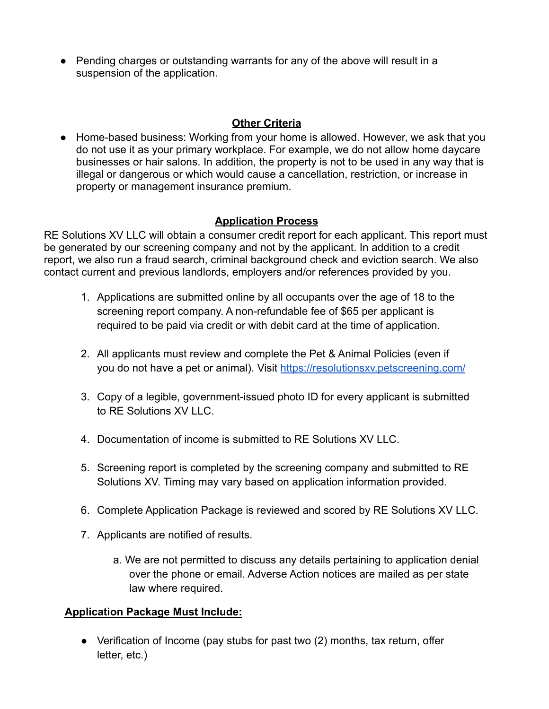● Pending charges or outstanding warrants for any of the above will result in a suspension of the application.

#### **Other Criteria**

● Home-based business: Working from your home is allowed. However, we ask that you do not use it as your primary workplace. For example, we do not allow home daycare businesses or hair salons. In addition, the property is not to be used in any way that is illegal or dangerous or which would cause a cancellation, restriction, or increase in property or management insurance premium.

## **Application Process**

RE Solutions XV LLC will obtain a consumer credit report for each applicant. This report must be generated by our screening company and not by the applicant. In addition to a credit report, we also run a fraud search, criminal background check and eviction search. We also contact current and previous landlords, employers and/or references provided by you.

- 1. Applications are submitted online by all occupants over the age of 18 to the screening report company. A non-refundable fee of \$65 per applicant is required to be paid via credit or with debit card at the time of application.
- 2. All applicants must review and complete the Pet & Animal Policies (even if you do not have a pet or animal). Visit <https://resolutionsxv.petscreening.com/>
- 3. Copy of a legible, government-issued photo ID for every applicant is submitted to RE Solutions XV LLC.
- 4. Documentation of income is submitted to RE Solutions XV LLC.
- 5. Screening report is completed by the screening company and submitted to RE Solutions XV. Timing may vary based on application information provided.
- 6. Complete Application Package is reviewed and scored by RE Solutions XV LLC.
- 7. Applicants are notified of results.
	- a. We are not permitted to discuss any details pertaining to application denial over the phone or email. Adverse Action notices are mailed as per state law where required.

## **Application Package Must Include:**

● Verification of Income (pay stubs for past two (2) months, tax return, offer letter, etc.)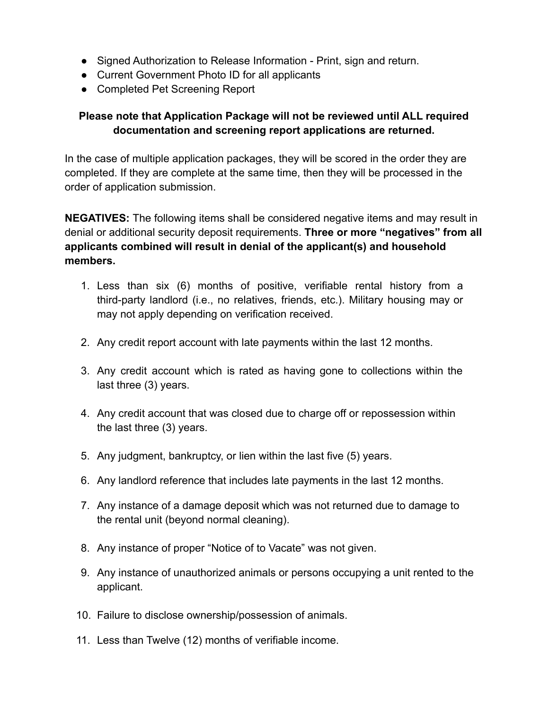- Signed Authorization to Release Information Print, sign and return.
- Current Government Photo ID for all applicants
- Completed Pet Screening Report

## **Please note that Application Package will not be reviewed until ALL required documentation and screening report applications are returned.**

In the case of multiple application packages, they will be scored in the order they are completed. If they are complete at the same time, then they will be processed in the order of application submission.

**NEGATIVES:** The following items shall be considered negative items and may result in denial or additional security deposit requirements. **Three or more "negatives" from all applicants combined will result in denial of the applicant(s) and household members.**

- 1. Less than six (6) months of positive, verifiable rental history from a third-party landlord (i.e., no relatives, friends, etc.). Military housing may or may not apply depending on verification received.
- 2. Any credit report account with late payments within the last 12 months.
- 3. Any credit account which is rated as having gone to collections within the last three (3) years.
- 4. Any credit account that was closed due to charge off or repossession within the last three (3) years.
- 5. Any judgment, bankruptcy, or lien within the last five (5) years.
- 6. Any landlord reference that includes late payments in the last 12 months.
- 7. Any instance of a damage deposit which was not returned due to damage to the rental unit (beyond normal cleaning).
- 8. Any instance of proper "Notice of to Vacate" was not given.
- 9. Any instance of unauthorized animals or persons occupying a unit rented to the applicant.
- 10. Failure to disclose ownership/possession of animals.
- 11. Less than Twelve (12) months of verifiable income.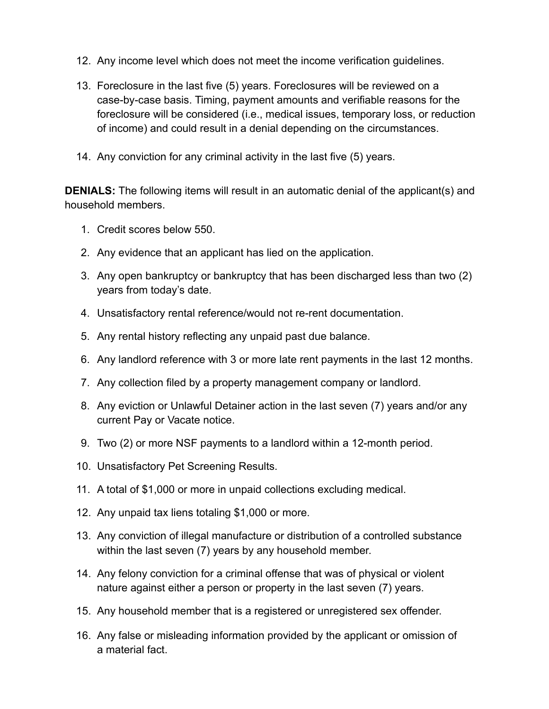- 12. Any income level which does not meet the income verification guidelines.
- 13. Foreclosure in the last five (5) years. Foreclosures will be reviewed on a case-by-case basis. Timing, payment amounts and verifiable reasons for the foreclosure will be considered (i.e., medical issues, temporary loss, or reduction of income) and could result in a denial depending on the circumstances.
- 14. Any conviction for any criminal activity in the last five (5) years.

**DENIALS:** The following items will result in an automatic denial of the applicant(s) and household members.

- 1. Credit scores below 550.
- 2. Any evidence that an applicant has lied on the application.
- 3. Any open bankruptcy or bankruptcy that has been discharged less than two (2) years from today's date.
- 4. Unsatisfactory rental reference/would not re-rent documentation.
- 5. Any rental history reflecting any unpaid past due balance.
- 6. Any landlord reference with 3 or more late rent payments in the last 12 months.
- 7. Any collection filed by a property management company or landlord.
- 8. Any eviction or Unlawful Detainer action in the last seven (7) years and/or any current Pay or Vacate notice.
- 9. Two (2) or more NSF payments to a landlord within a 12-month period.
- 10. Unsatisfactory Pet Screening Results.
- 11. A total of \$1,000 or more in unpaid collections excluding medical.
- 12. Any unpaid tax liens totaling \$1,000 or more.
- 13. Any conviction of illegal manufacture or distribution of a controlled substance within the last seven (7) years by any household member.
- 14. Any felony conviction for a criminal offense that was of physical or violent nature against either a person or property in the last seven (7) years.
- 15. Any household member that is a registered or unregistered sex offender.
- 16. Any false or misleading information provided by the applicant or omission of a material fact.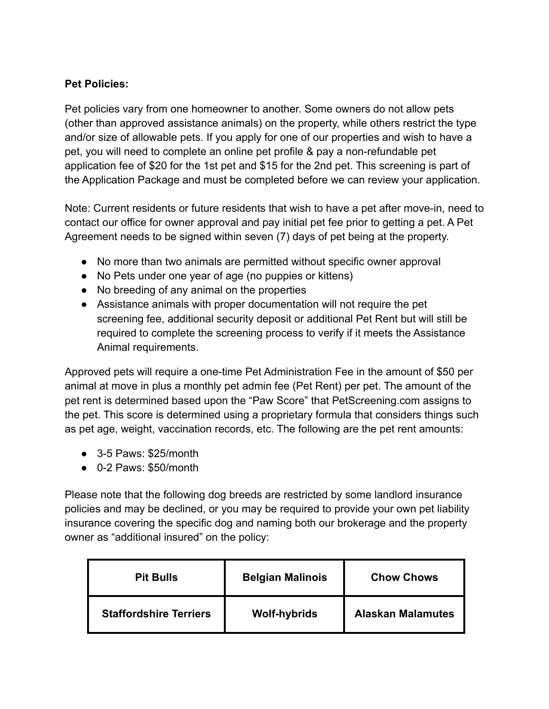#### **Pet Policies:**

Pet policies vary from one homeowner to another. Some owners do not allow pets (other than approved assistance animals) on the property, while others restrict the type and/or size of allowable pets. If you apply for one of our properties and wish to have a pet, you will need to complete an online pet profile & pay a non-refundable pet application fee of \$20 for the 1st pet and \$15 for the 2nd pet. This screening is part of the Application Package and must be completed before we can review your application.

Note: Current residents or future residents that wish to have a pet after move-in, need to contact our office for owner approval and pay initial pet fee prior to getting a pet. A Pet Agreement needs to be signed within seven (7) days of pet being at the property.

- No more than two animals are permitted without specific owner approval
- No Pets under one year of age (no puppies or kittens)
- No breeding of any animal on the properties
- Assistance animals with proper documentation will not require the pet screening fee, additional security deposit or additional Pet Rent but will still be required to complete the screening process to verify if it meets the Assistance Animal requirements.

Approved pets will require a one-time Pet Administration Fee in the amount of \$50 per animal at move in plus a monthly pet admin fee (Pet Rent) per pet. The amount of the pet rent is determined based upon the "Paw Score" that PetScreening.com assigns to the pet. This score is determined using a proprietary formula that considers things such as pet age, weight, vaccination records, etc. The following are the pet rent amounts:

- 3-5 Paws: \$25/month
- 0-2 Paws: \$50/month

Please note that the following dog breeds are restricted by some landlord insurance policies and may be declined, or you may be required to provide your own pet liability insurance covering the specific dog and naming both our brokerage and the property owner as "additional insured" on the policy:

| <b>Pit Bulls</b>              | <b>Belgian Malinois</b> | <b>Chow Chows</b>        |
|-------------------------------|-------------------------|--------------------------|
| <b>Staffordshire Terriers</b> | <b>Wolf-hybrids</b>     | <b>Alaskan Malamutes</b> |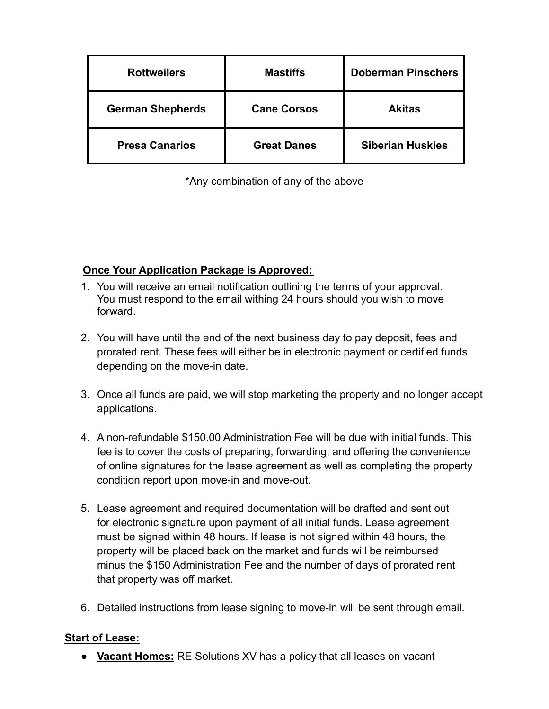| <b>Rottweilers</b>      | <b>Mastiffs</b>    | <b>Doberman Pinschers</b> |
|-------------------------|--------------------|---------------------------|
| <b>German Shepherds</b> | <b>Cane Corsos</b> | <b>Akitas</b>             |
| <b>Presa Canarios</b>   | <b>Great Danes</b> | <b>Siberian Huskies</b>   |

\*Any combination of any of the above

#### **Once Your Application Package is Approved:**

- 1. You will receive an email notification outlining the terms of your approval. You must respond to the email withing 24 hours should you wish to move forward.
- 2. You will have until the end of the next business day to pay deposit, fees and prorated rent. These fees will either be in electronic payment or certified funds depending on the move-in date.
- 3. Once all funds are paid, we will stop marketing the property and no longer accept applications.
- 4. A non-refundable \$150.00 Administration Fee will be due with initial funds. This fee is to cover the costs of preparing, forwarding, and offering the convenience of online signatures for the lease agreement as well as completing the property condition report upon move-in and move-out.
- 5. Lease agreement and required documentation will be drafted and sent out for electronic signature upon payment of all initial funds. Lease agreement must be signed within 48 hours. If lease is not signed within 48 hours, the property will be placed back on the market and funds will be reimbursed minus the \$150 Administration Fee and the number of days of prorated rent that property was off market.
- 6. Detailed instructions from lease signing to move-in will be sent through email.

#### **Start of Lease:**

● **Vacant Homes:** RE Solutions XV has a policy that all leases on vacant